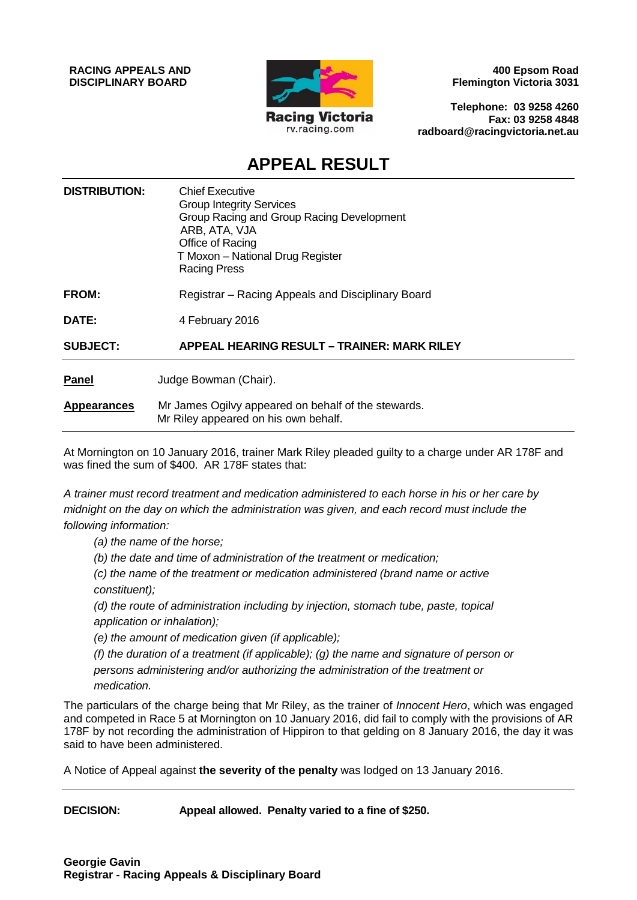**RACING APPEALS AND DISCIPLINARY BOARD**



**400 Epsom Road Flemington Victoria 3031**

**Telephone: 03 9258 4260 Fax: 03 9258 4848 radboard@racingvictoria.net.au**

# **APPEAL RESULT**

| <b>DISTRIBUTION:</b> | <b>Chief Executive</b><br><b>Group Integrity Services</b><br>Group Racing and Group Racing Development<br>ARB, ATA, VJA<br>Office of Racing<br>T Moxon - National Drug Register<br><b>Racing Press</b> |
|----------------------|--------------------------------------------------------------------------------------------------------------------------------------------------------------------------------------------------------|
| FROM:                | Registrar - Racing Appeals and Disciplinary Board                                                                                                                                                      |
| DATE:                | 4 February 2016                                                                                                                                                                                        |
| <b>SUBJECT:</b>      | <b>APPEAL HEARING RESULT - TRAINER: MARK RILEY</b>                                                                                                                                                     |
| <b>Panel</b>         | Judge Bowman (Chair).                                                                                                                                                                                  |
| <b>Appearances</b>   | Mr James Ogilvy appeared on behalf of the stewards.<br>Mr Riley appeared on his own behalf.                                                                                                            |

At Mornington on 10 January 2016, trainer Mark Riley pleaded guilty to a charge under AR 178F and was fined the sum of \$400. AR 178F states that:

*A trainer must record treatment and medication administered to each horse in his or her care by midnight on the day on which the administration was given, and each record must include the following information:* 

*(a) the name of the horse;* 

*(b) the date and time of administration of the treatment or medication;* 

*(c) the name of the treatment or medication administered (brand name or active constituent);* 

*(d) the route of administration including by injection, stomach tube, paste, topical application or inhalation);* 

*(e) the amount of medication given (if applicable);* 

*(f) the duration of a treatment (if applicable); (g) the name and signature of person or persons administering and/or authorizing the administration of the treatment or medication.*

The particulars of the charge being that Mr Riley, as the trainer of *Innocent Hero*, which was engaged and competed in Race 5 at Mornington on 10 January 2016, did fail to comply with the provisions of AR 178F by not recording the administration of Hippiron to that gelding on 8 January 2016, the day it was said to have been administered.

A Notice of Appeal against **the severity of the penalty** was lodged on 13 January 2016.

**DECISION: Appeal allowed. Penalty varied to a fine of \$250.**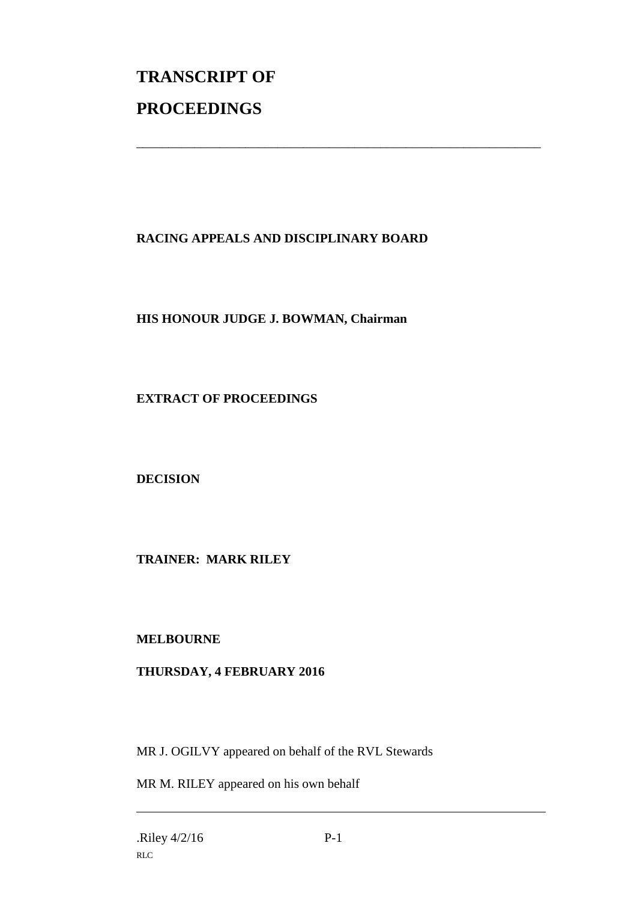# **TRANSCRIPT OF PROCEEDINGS**

# **RACING APPEALS AND DISCIPLINARY BOARD**

\_\_\_\_\_\_\_\_\_\_\_\_\_\_\_\_\_\_\_\_\_\_\_\_\_\_\_\_\_\_\_\_\_\_\_\_\_\_\_\_\_\_\_\_\_\_\_\_\_\_\_\_\_\_\_\_\_\_\_\_\_\_\_

### **HIS HONOUR JUDGE J. BOWMAN, Chairman**

#### **EXTRACT OF PROCEEDINGS**

#### **DECISION**

#### **TRAINER: MARK RILEY**

#### **MELBOURNE**

# **THURSDAY, 4 FEBRUARY 2016**

MR J. OGILVY appeared on behalf of the RVL Stewards

MR M. RILEY appeared on his own behalf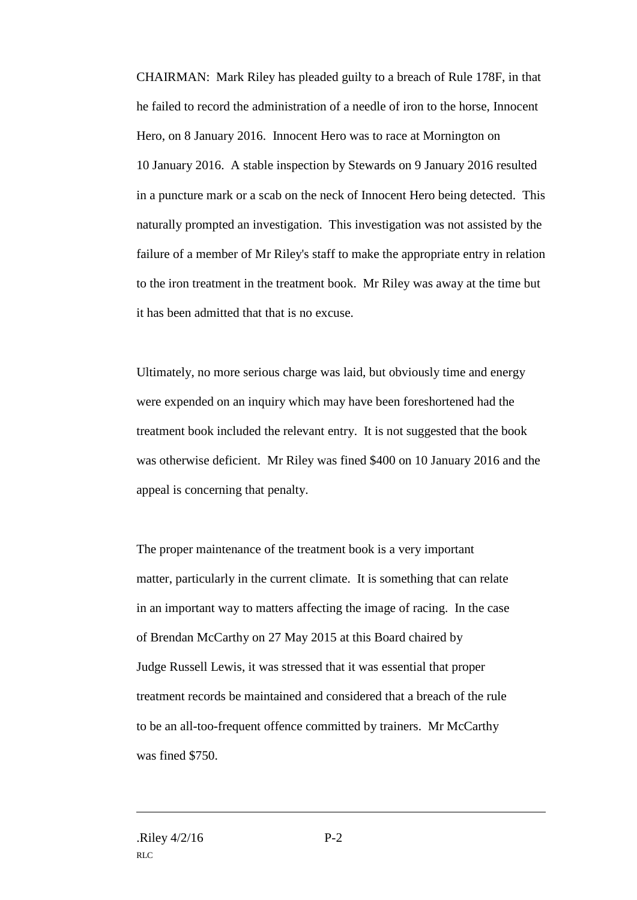CHAIRMAN: Mark Riley has pleaded guilty to a breach of Rule 178F, in that he failed to record the administration of a needle of iron to the horse, Innocent Hero, on 8 January 2016. Innocent Hero was to race at Mornington on 10 January 2016. A stable inspection by Stewards on 9 January 2016 resulted in a puncture mark or a scab on the neck of Innocent Hero being detected. This naturally prompted an investigation. This investigation was not assisted by the failure of a member of Mr Riley's staff to make the appropriate entry in relation to the iron treatment in the treatment book. Mr Riley was away at the time but it has been admitted that that is no excuse.

Ultimately, no more serious charge was laid, but obviously time and energy were expended on an inquiry which may have been foreshortened had the treatment book included the relevant entry. It is not suggested that the book was otherwise deficient. Mr Riley was fined \$400 on 10 January 2016 and the appeal is concerning that penalty.

The proper maintenance of the treatment book is a very important matter, particularly in the current climate. It is something that can relate in an important way to matters affecting the image of racing. In the case of Brendan McCarthy on 27 May 2015 at this Board chaired by Judge Russell Lewis, it was stressed that it was essential that proper treatment records be maintained and considered that a breach of the rule to be an all-too-frequent offence committed by trainers. Mr McCarthy was fined \$750.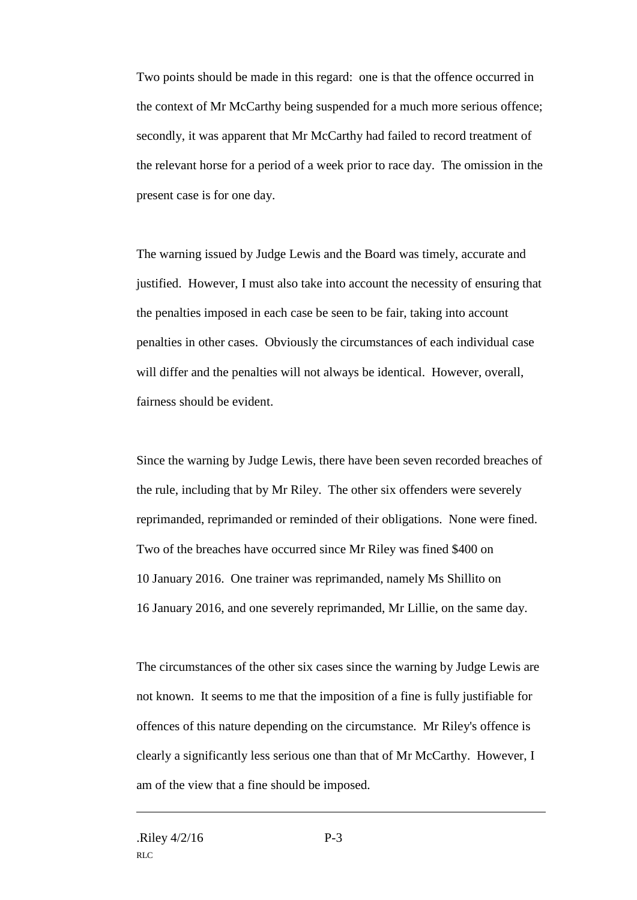Two points should be made in this regard: one is that the offence occurred in the context of Mr McCarthy being suspended for a much more serious offence; secondly, it was apparent that Mr McCarthy had failed to record treatment of the relevant horse for a period of a week prior to race day. The omission in the present case is for one day.

The warning issued by Judge Lewis and the Board was timely, accurate and justified. However, I must also take into account the necessity of ensuring that the penalties imposed in each case be seen to be fair, taking into account penalties in other cases. Obviously the circumstances of each individual case will differ and the penalties will not always be identical. However, overall, fairness should be evident.

Since the warning by Judge Lewis, there have been seven recorded breaches of the rule, including that by Mr Riley. The other six offenders were severely reprimanded, reprimanded or reminded of their obligations. None were fined. Two of the breaches have occurred since Mr Riley was fined \$400 on 10 January 2016. One trainer was reprimanded, namely Ms Shillito on 16 January 2016, and one severely reprimanded, Mr Lillie, on the same day.

The circumstances of the other six cases since the warning by Judge Lewis are not known. It seems to me that the imposition of a fine is fully justifiable for offences of this nature depending on the circumstance. Mr Riley's offence is clearly a significantly less serious one than that of Mr McCarthy. However, I am of the view that a fine should be imposed.